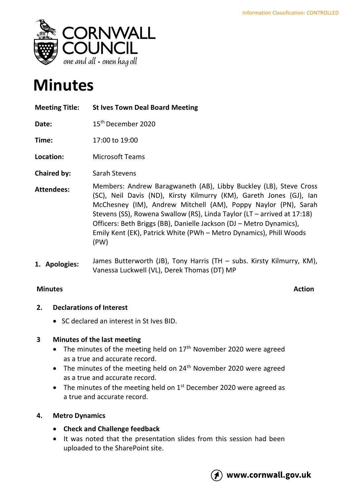

# **Minutes**

**Meeting Title: St Ives Town Deal Board Meeting Date:** 15<sup>th</sup> December 2020 **Time:** 17:00 to 19:00 **Location:** Microsoft Teams **Chaired by:** Sarah Stevens **Attendees:** Members: Andrew Baragwaneth (AB), Libby Buckley (LB), Steve Cross (SC), Neil Davis (ND), Kirsty Kilmurry (KM), Gareth Jones (GJ), Ian McChesney (IM), Andrew Mitchell (AM), Poppy Naylor (PN), Sarah Stevens (SS), Rowena Swallow (RS), Linda Taylor (LT – arrived at 17:18) Officers: Beth Briggs (BB), Danielle Jackson (DJ – Metro Dynamics), Emily Kent (EK), Patrick White (PWh – Metro Dynamics), Phill Woods (PW) **1. Apologies:** James Butterworth (JB), Tony Harris (TH – subs. Kirsty Kilmurry, KM), Vanessa Luckwell (VL), Derek Thomas (DT) MP

# **Minutes Action**

# **2. Declarations of Interest**

• SC declared an interest in St Ives BID.

# **3 Minutes of the last meeting**

- The minutes of the meeting held on  $17<sup>th</sup>$  November 2020 were agreed as a true and accurate record.
- The minutes of the meeting held on  $24<sup>th</sup>$  November 2020 were agreed as a true and accurate record.
- The minutes of the meeting held on  $1<sup>st</sup>$  December 2020 were agreed as a true and accurate record.

# **4. Metro Dynamics**

- **Check and Challenge feedback**
- It was noted that the presentation slides from this session had been uploaded to the SharePoint site.

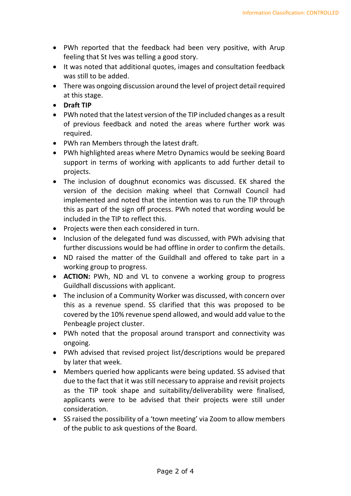- PWh reported that the feedback had been very positive, with Arup feeling that St Ives was telling a good story.
- It was noted that additional quotes, images and consultation feedback was still to be added.
- There was ongoing discussion around the level of project detail required at this stage.
- **Draft TIP**
- PWh noted that the latest version of the TIP included changes as a result of previous feedback and noted the areas where further work was required.
- PWh ran Members through the latest draft.
- PWh highlighted areas where Metro Dynamics would be seeking Board support in terms of working with applicants to add further detail to projects.
- The inclusion of doughnut economics was discussed. EK shared the version of the decision making wheel that Cornwall Council had implemented and noted that the intention was to run the TIP through this as part of the sign off process. PWh noted that wording would be included in the TIP to reflect this.
- Projects were then each considered in turn.
- Inclusion of the delegated fund was discussed, with PWh advising that further discussions would be had offline in order to confirm the details.
- ND raised the matter of the Guildhall and offered to take part in a working group to progress.
- **ACTION:** PWh, ND and VL to convene a working group to progress Guildhall discussions with applicant.
- The inclusion of a Community Worker was discussed, with concern over this as a revenue spend. SS clarified that this was proposed to be covered by the 10% revenue spend allowed, and would add value to the Penbeagle project cluster.
- PWh noted that the proposal around transport and connectivity was ongoing.
- PWh advised that revised project list/descriptions would be prepared by later that week.
- Members queried how applicants were being updated. SS advised that due to the fact that it was still necessary to appraise and revisit projects as the TIP took shape and suitability/deliverability were finalised, applicants were to be advised that their projects were still under consideration.
- SS raised the possibility of a 'town meeting' via Zoom to allow members of the public to ask questions of the Board.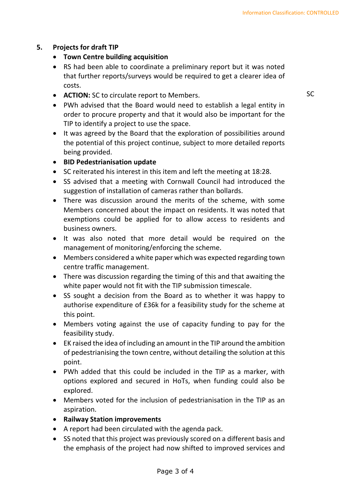# **5. Projects for draft TIP**

- **Town Centre building acquisition**
- RS had been able to coordinate a preliminary report but it was noted that further reports/surveys would be required to get a clearer idea of costs.
- **ACTION:** SC to circulate report to Members.
- PWh advised that the Board would need to establish a legal entity in order to procure property and that it would also be important for the TIP to identify a project to use the space.
- It was agreed by the Board that the exploration of possibilities around the potential of this project continue, subject to more detailed reports being provided.
- **BID Pedestrianisation update**
- SC reiterated his interest in this item and left the meeting at 18:28.
- SS advised that a meeting with Cornwall Council had introduced the suggestion of installation of cameras rather than bollards.
- There was discussion around the merits of the scheme, with some Members concerned about the impact on residents. It was noted that exemptions could be applied for to allow access to residents and business owners.
- It was also noted that more detail would be required on the management of monitoring/enforcing the scheme.
- Members considered a white paper which was expected regarding town centre traffic management.
- There was discussion regarding the timing of this and that awaiting the white paper would not fit with the TIP submission timescale.
- SS sought a decision from the Board as to whether it was happy to authorise expenditure of £36k for a feasibility study for the scheme at this point.
- Members voting against the use of capacity funding to pay for the feasibility study.
- EK raised the idea of including an amount in the TIP around the ambition of pedestrianising the town centre, without detailing the solution at this point.
- PWh added that this could be included in the TIP as a marker, with options explored and secured in HoTs, when funding could also be explored.
- Members voted for the inclusion of pedestrianisation in the TIP as an aspiration.
- **Railway Station improvements**
- A report had been circulated with the agenda pack.
- SS noted that this project was previously scored on a different basis and the emphasis of the project had now shifted to improved services and